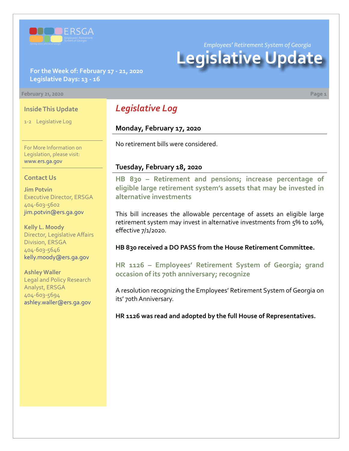

*Employees' Retirement System of Georgia*

# **Legislative Update**

### **For the Week of: February 17 - 21, 2020 Legislative Days: 13 - 16**

### **February 21, 2020 Page 1**

### **Inside This Update**

1-2 Legislative Log

For More Information on Legislation, please visit: [www.ers.ga.gov](http://www.ers.ga.gov/default.aspx)

### **Contact Us**

**Jim Potvin** Executive Director, ERSGA 404-603-5602 jim.potvin@ers.ga.gov

**Kelly L. Moody** Director, Legislative Affairs Division, ERSGA 404-603-5646 kelly.moody@ers.ga.gov

**Ashley Waller** Legal and Policy Research Analyst, ERSGA 404-603-5694 ashley.waller@ers.ga.gov

# *Legislative Log*

### **Monday, February 17, 2020**

No retirement bills were considered.

### **Tuesday, February 18, 2020**

**HB 830 [–](http://www.legis.ga.gov/legislation/en-US/Display/20192020/SB/14) Retirement and pensions; increase percentage of [eligible large retirement system's assets that may be invested in](http://www.legis.ga.gov/legislation/en-US/Display/20192020/HB/830)  alternative investments**

This bill increases the allowable percentage of assets an eligible large retirement system may invest in alternative investments from 5% to 10%, effective 7/1/2020.

**HB 830 received a DO PASS from the House Retirement Committee.**

**[HR 1126](http://www.legis.ga.gov/legislation/en-US/Display/20192020/HR/1126) [– Employees' Retirement System of Georgia; grand](http://www.legis.ga.gov/legislation/en-US/Display/20192020/HR/1126)  occasion of its 70th anniversary; recognize**

A resolution recognizing the Employees' Retirement System of Georgia on its' 70th Anniversary.

**HR 1126 was read and adopted by the full House of Representatives.**